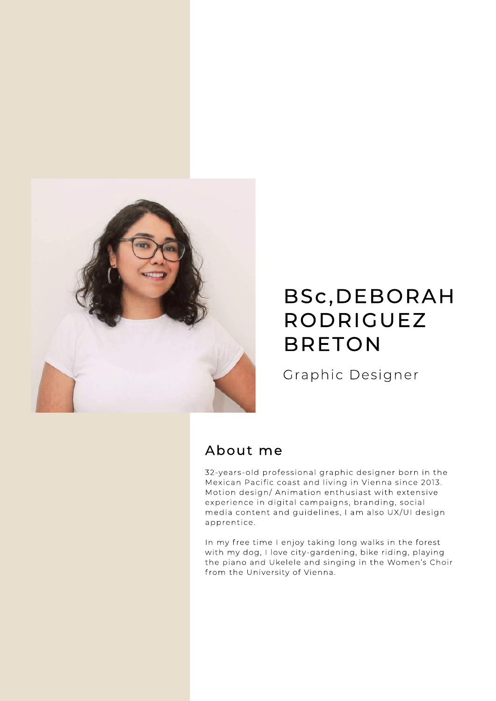

# BSc,DEBORAH RODRIGUEZ BRETON

Graphic Designer

### About me

32-years-old professional graphic designer born in the Mexican Pacific coast and living in Vienna since 2013. Motion design/Animation enthusiast with extensive experience in digital campaigns, branding, social media content and guidelines, I am also UX/UI design apprentice.

In my free time I enjoy taking long walks in the forest with my dog, I love city-gardening, bike riding, playing the piano and Ukelele and singing in the Women's Choir from the University of Vienna.